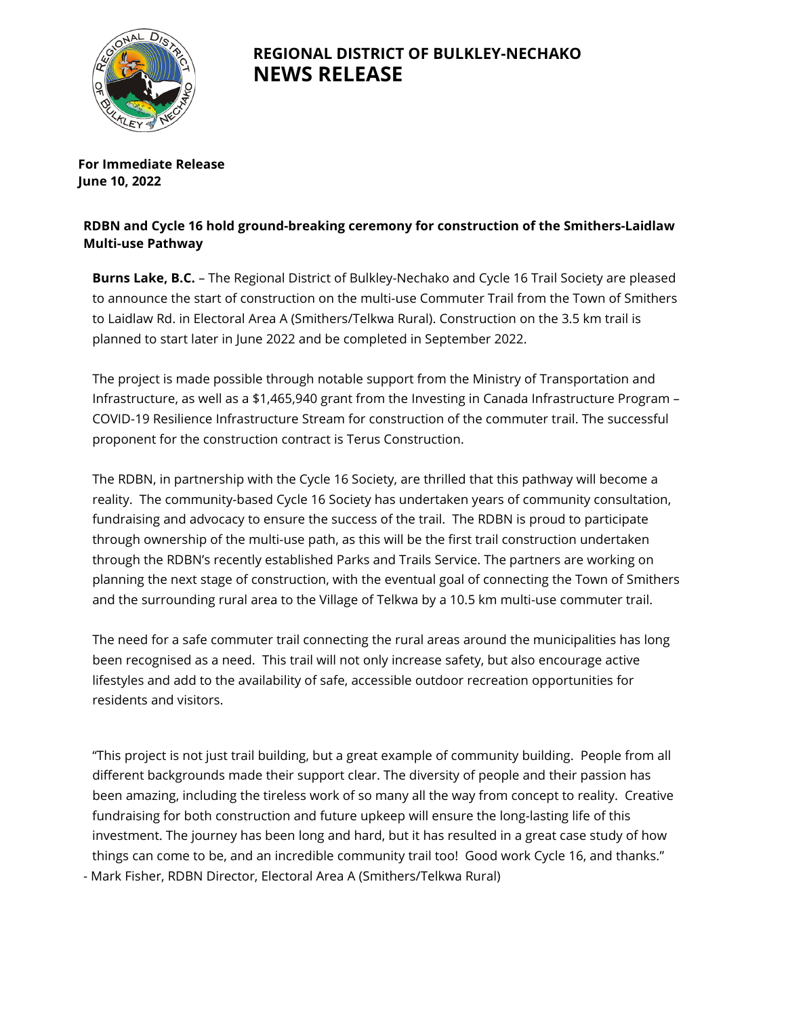

## **REGIONAL DISTRICT OF BULKLEY-NECHAKO NEWS RELEASE**

**For Immediate Release June 10, 2022**

## **RDBN and Cycle 16 hold ground-breaking ceremony for construction of the Smithers-Laidlaw Multi-use Pathway**

**Burns Lake, B.C.** – The Regional District of Bulkley-Nechako and Cycle 16 Trail Society are pleased to announce the start of construction on the multi-use Commuter Trail from the Town of Smithers to Laidlaw Rd. in Electoral Area A (Smithers/Telkwa Rural). Construction on the 3.5 km trail is planned to start later in June 2022 and be completed in September 2022.

The project is made possible through notable support from the Ministry of Transportation and Infrastructure, as well as a \$1,465,940 grant from the Investing in Canada Infrastructure Program – COVID-19 Resilience Infrastructure Stream for construction of the commuter trail. The successful proponent for the construction contract is Terus Construction.

The RDBN, in partnership with the Cycle 16 Society, are thrilled that this pathway will become a reality. The community-based Cycle 16 Society has undertaken years of community consultation, fundraising and advocacy to ensure the success of the trail. The RDBN is proud to participate through ownership of the multi-use path, as this will be the first trail construction undertaken through the RDBN's recently established Parks and Trails Service. The partners are working on planning the next stage of construction, with the eventual goal of connecting the Town of Smithers and the surrounding rural area to the Village of Telkwa by a 10.5 km multi-use commuter trail.

The need for a safe commuter trail connecting the rural areas around the municipalities has long been recognised as a need. This trail will not only increase safety, but also encourage active lifestyles and add to the availability of safe, accessible outdoor recreation opportunities for residents and visitors.

"This project is not just trail building, but a great example of community building. People from all different backgrounds made their support clear. The diversity of people and their passion has been amazing, including the tireless work of so many all the way from concept to reality. Creative fundraising for both construction and future upkeep will ensure the long-lasting life of this investment. The journey has been long and hard, but it has resulted in a great case study of how things can come to be, and an incredible community trail too! Good work Cycle 16, and thanks." - Mark Fisher, RDBN Director, Electoral Area A (Smithers/Telkwa Rural)